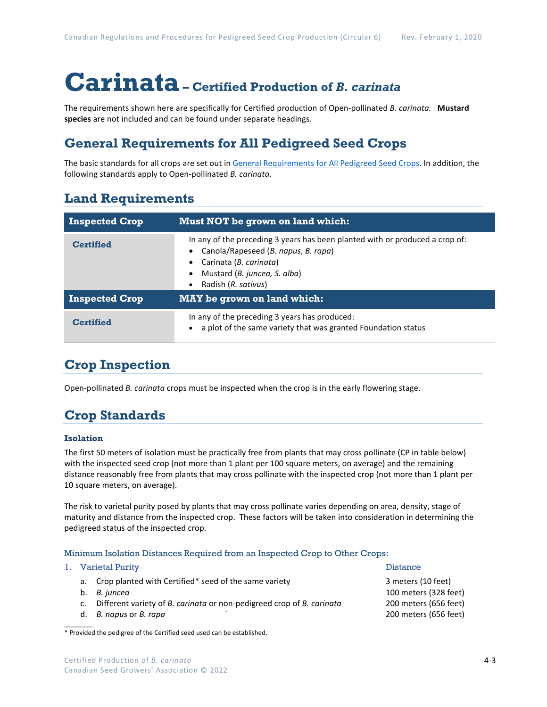# **Carinata– Certified Production of** *B. carinata*

The requirements shown here are specifically for Certified production of Open-pollinated *B. carinata.* **Mustard species** are not included and can be found under separate headings.

## **General Requirements for All Pedigreed Seed Crops**

The basic standards for all crops are set out i[n General Requirements for All Pedigreed Seed](https://seedgrowers.ca/wp-content/uploads/2020/01/GENERAL-REQUIREMENTS-ALL-CROPS_EN.pdf) Crops. In addition, the following standards apply to Open-pollinated *B. carinata*.

## **Land Requirements**

| <b>Inspected Crop</b> | Must NOT be grown on land which:                                                                                                                                                                                  |  |  |
|-----------------------|-------------------------------------------------------------------------------------------------------------------------------------------------------------------------------------------------------------------|--|--|
| <b>Certified</b>      | In any of the preceding 3 years has been planted with or produced a crop of:<br>Canola/Rapeseed (B. napus, B. rapa)<br>Carinata (B. carinata)<br>Mustard (B. juncea, S. alba)<br>$\bullet$<br>Radish (R. sativus) |  |  |
| <b>Inspected Crop</b> | <b>MAY</b> be grown on land which:                                                                                                                                                                                |  |  |
| <b>Certified</b>      | In any of the preceding 3 years has produced:<br>a plot of the same variety that was granted Foundation status                                                                                                    |  |  |

## **Crop Inspection**

Open-pollinated *B. carinata* crops must be inspected when the crop is in the early flowering stage.

## **Crop Standards**

#### **Isolation**

The first 50 meters of isolation must be practically free from plants that may cross pollinate (CP in table below) with the inspected seed crop (not more than 1 plant per 100 square meters, on average) and the remaining distance reasonably free from plants that may cross pollinate with the inspected crop (not more than 1 plant per 10 square meters, on average).

The risk to varietal purity posed by plants that may cross pollinate varies depending on area, density, stage of maturity and distance from the inspected crop. These factors will be taken into consideration in determining the pedigreed status of the inspected crop.

#### Minimum Isolation Distances Required from an Inspected Crop to Other Crops:

|  | 1. Varietal Purity                                                       | <b>Distance</b>       |
|--|--------------------------------------------------------------------------|-----------------------|
|  | a. Crop planted with Certified* seed of the same variety                 | 3 meters (10 feet)    |
|  | b. B. juncea                                                             | 100 meters (328 feet) |
|  | c. Different variety of B. carinata or non-pedigreed crop of B. carinata | 200 meters (656 feet) |
|  | d. B. napus or B. rapa                                                   | 200 meters (656 feet) |
|  |                                                                          |                       |

\* Provided the pedigree of the Certified seed used can be established.

### Certified Production of *B. carinata* Canadian Seed Growers' Association © 2022